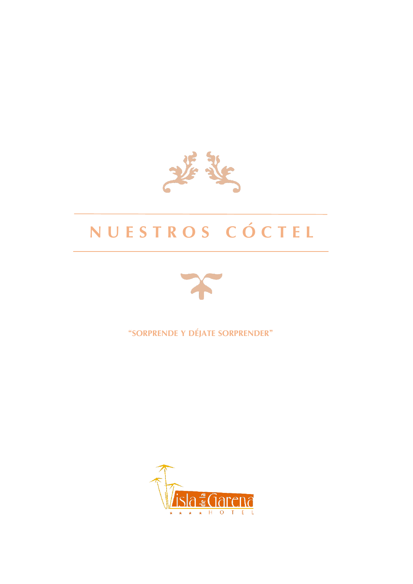

# **N U E S T R O S C Ó C T E L**



**"SORPRENDE Y DÉJATE SORPRENDER"**

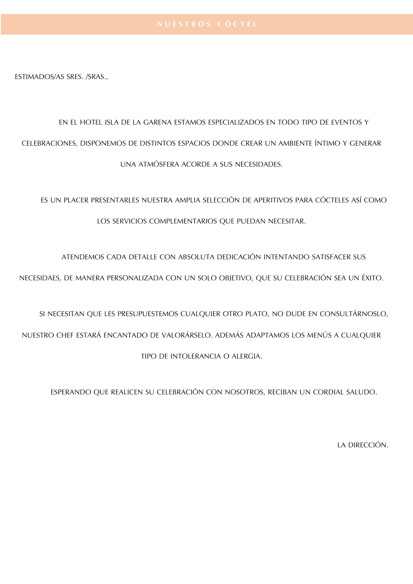ESTIMADOS/AS SRES. /SRAS.,

## EN EL HOTEL ISLA DE LA GARENA ESTAMOS ESPECIALIZADOS EN TODO TIPO DE EVENTOS Y CELEBRACIONES, DISPONEMOS DE DISTINTOS ESPACIOS DONDE CREAR UN AMBIENTE ÍNTIMO Y GENERAR UNA ATMÓSFERA ACORDE A SUS NECESIDADES.

ES UN PLACER PRESENTARLES NUESTRA AMPLIA SELECCIÓN DE APERITIVOS PARA CÓCTELES ASÍ COMO LOS SERVICIOS COMPLEMENTARIOS QUE PUEDAN NECESITAR.

ATENDEMOS CADA DETALLE CON ABSOLUTA DEDICACIÓN INTENTANDO SATISFACER SUS

NECESIDAES, DE MANERA PERSONALIZADA CON UN SOLO OBJETIVO, QUE SU CELEBRACIÓN SEA UN ÉXITO.

SI NECESITAN QUE LES PRESUPUESTEMOS CUALQUIER OTRO PLATO, NO DUDE EN CONSULTÁRNOSLO, NUESTRO CHEF ESTARÁ ENCANTADO DE VALORÁRSELO. ADEMÁS ADAPTAMOS LOS MENÚS A CUALQUIER TIPO DE INTOLERANCIA O ALERGIA.

ESPERANDO QUE REALICEN SU CELEBRACIÓN CON NOSOTROS, RECIBAN UN CORDIAL SALUDO.

LA DIRECCIÓN.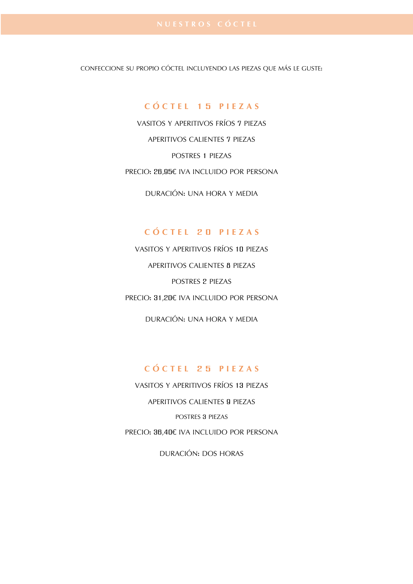CONFECCIONE SU PROPIO CÓCTEL INCLUYENDO LAS PIEZAS QUE MÁS LE GUSTE:

#### **C Ó C T E L 1 5 P I E Z A S**

VASITOS Y APERITIVOS FRÍOS 7 PIEZAS APERITIVOS CALIENTES 7 PIEZAS POSTRES 1 PIEZAS PRECIO: 26,95€ IVA INCLUIDO POR PERSONA

DURACIÓN: UNA HORA Y MEDIA

#### **C Ó C T E L 2 0 P I E Z A S**

VASITOS Y APERITIVOS FRÍOS 10 PIEZAS APERITIVOS CALIENTES 8 PIEZAS POSTRES 2 PIEZAS PRECIO: 31,20€ IVA INCLUIDO POR PERSONA

DURACIÓN: UNA HORA Y MEDIA

### **C Ó C T E L 2 5 P I E Z A S**

VASITOS Y APERITIVOS FRÍOS 13 PIEZAS APERITIVOS CALIENTES 9 PIEZAS POSTRES 3 PIEZAS PRECIO: 36,40€ IVA INCLUIDO POR PERSONA

DURACIÓN: DOS HORAS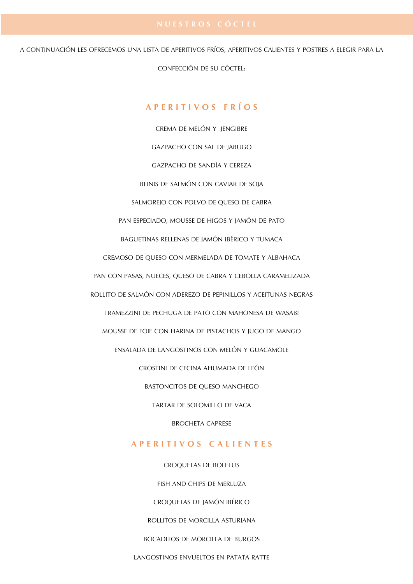A CONTINUACIÓN LES OFRECEMOS UNA LISTA DE APERITIVOS FRÍOS, APERITIVOS CALIENTES Y POSTRES A ELEGIR PARA LA

CONFECCIÓN DE SU CÓCTEL:

### **A P E R I T I V O S F R Í O S**

CREMA DE MELÓN Y JENGIBRE GAZPACHO CON SAL DE JABUGO GAZPACHO DE SANDÍA Y CEREZA BLINIS DE SALMÓN CON CAVIAR DE SOJA SALMOREJO CON POLVO DE QUESO DE CABRA PAN ESPECIADO, MOUSSE DE HIGOS Y JAMÓN DE PATO BAGUETINAS RELLENAS DE JAMÓN IBÉRICO Y TUMACA CREMOSO DE QUESO CON MERMELADA DE TOMATE Y ALBAHACA PAN CON PASAS, NUECES, QUESO DE CABRA Y CEBOLLA CARAMELIZADA ROLLITO DE SALMÓN CON ADEREZO DE PEPINILLOS Y ACEITUNAS NEGRAS TRAMEZZINI DE PECHUGA DE PATO CON MAHONESA DE WASABI MOUSSE DE FOIE CON HARINA DE PISTACHOS Y JUGO DE MANGO ENSALADA DE LANGOSTINOS CON MELÓN Y GUACAMOLE CROSTINI DE CECINA AHUMADA DE LEÓN BASTONCITOS DE QUESO MANCHEGO TARTAR DE SOLOMILLO DE VACA BROCHETA CAPRESE

#### **A P E R I T I V O S C A L I E N T E S**

CROQUETAS DE BOLETUS FISH AND CHIPS DE MERLUZA CROQUETAS DE JAMÓN IBÉRICO ROLLITOS DE MORCILLA ASTURIANA BOCADITOS DE MORCILLA DE BURGOS LANGOSTINOS ENVUELTOS EN PATATA RATTE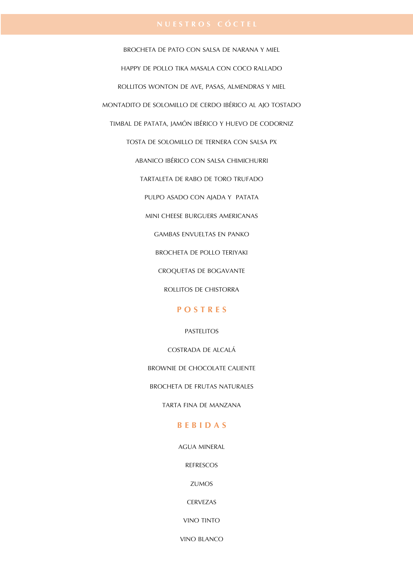BROCHETA DE PATO CON SALSA DE NARANA Y MIEL HAPPY DE POLLO TIKA MASALA CON COCO RALLADO ROLLITOS WONTON DE AVE, PASAS, ALMENDRAS Y MIEL MONTADITO DE SOLOMILLO DE CERDO IBÉRICO AL AJO TOSTADO TIMBAL DE PATATA, JAMÓN IBÉRICO Y HUEVO DE CODORNIZ TOSTA DE SOLOMILLO DE TERNERA CON SALSA PX ABANICO IBÉRICO CON SALSA CHIMICHURRI TARTALETA DE RABO DE TORO TRUFADO PULPO ASADO CON AJADA Y PATATA MINI CHEESE BURGUERS AMERICANAS GAMBAS ENVUELTAS EN PANKO BROCHETA DE POLLO TERIYAKI CROQUETAS DE BOGAVANTE ROLLITOS DE CHISTORRA

#### **P O S T R E S**

#### PASTELITOS

COSTRADA DE ALCALÁ

BROWNIE DE CHOCOLATE CALIENTE

BROCHETA DE FRUTAS NATURALES

TARTA FINA DE MANZANA

#### **B E B I D A S**

AGUA MINERAL

REFRESCOS

ZUMOS

**CERVEZAS** 

VINO TINTO

VINO BLANCO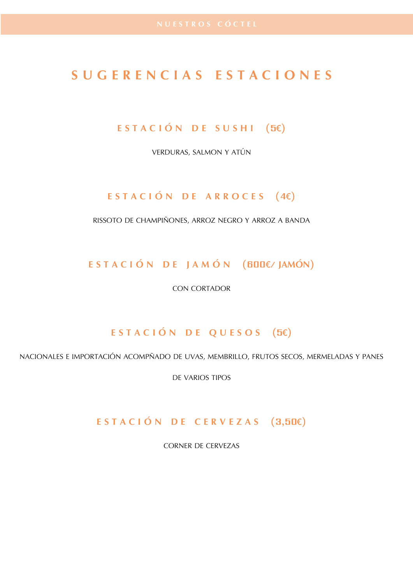### **S U G E R E N C I A S E S T A C I O N E S**

### **E S T A C I Ó N D E S U S H I (5€)**

VERDURAS, SALMON Y ATÚN

### **E S T A C I Ó N D E A R R O C E S (4€)**

RISSOTO DE CHAMPIÑONES, ARROZ NEGRO Y ARROZ A BANDA

**E S T A C I Ó N D E J A M Ó N (600€/ JAMÓN)**

CON CORTADOR

### **E S T A C I Ó N D E Q U E S O S (5€)**

NACIONALES E IMPORTACIÓN ACOMPÑADO DE UVAS, MEMBRILLO, FRUTOS SECOS, MERMELADAS Y PANES

DE VARIOS TIPOS

### **E S T A C I Ó N D E C E R V E Z A S (3,50€)**

CORNER DE CERVEZAS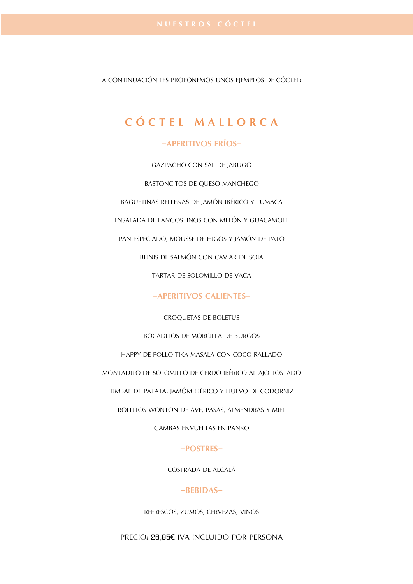A CONTINUACIÓN LES PROPONEMOS UNOS EIEMPLOS DE CÓCTEL:

## **C Ó C T E L M A L L O R C A**

#### **-APERITIVOS FRÍOS-**

GAZPACHO CON SAL DE JABUGO

BASTONCITOS DE QUESO MANCHEGO

BAGUETINAS RELLENAS DE JAMÓN IBÉRICO Y TUMACA

ENSALADA DE LANGOSTINOS CON MELÓN Y GUACAMOLE

PAN ESPECIADO, MOUSSE DE HIGOS Y JAMÓN DE PATO

BLINIS DE SALMÓN CON CAVIAR DE SOJA

TARTAR DE SOLOMILLO DE VACA

#### **-APERITIVOS CALIENTES-**

CROQUETAS DE BOLETUS

#### BOCADITOS DE MORCILLA DE BURGOS

HAPPY DE POLLO TIKA MASALA CON COCO RALLADO

MONTADITO DE SOLOMILLO DE CERDO IBÉRICO AL AJO TOSTADO

TIMBAL DE PATATA, JAMÓM IBÉRICO Y HUEVO DE CODORNIZ

ROLLITOS WONTON DE AVE, PASAS, ALMENDRAS Y MIEL

GAMBAS ENVUELTAS EN PANKO

#### **-POSTRES-**

COSTRADA DE ALCALÁ

#### **-BEBIDAS-**

REFRESCOS, ZUMOS, CERVEZAS, VINOS

PRECIO: 26,95€ IVA INCLUIDO POR PERSONA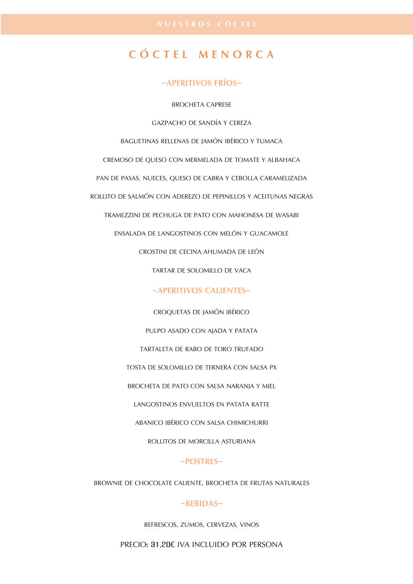### **C Ó C T E L M E N O R C A**

#### **-APERITIVOS FRÍOS-**

BROCHETA CAPRESE

GAZPACHO DE SANDÍA Y CEREZA

BAGUETINAS RELLENAS DE JAMÓN IBÉRICO Y TUMACA

CREMOSO DE QUESO CON MERMELADA DE TOMATE Y ALBAHACA

PAN DE PASAS, NUECES, QUESO DE CABRA Y CEBOLLA CARAMELIZADA

ROLLITO DE SALMÓN CON ADEREZO DE PEPINILLOS Y ACEITUNAS NEGRAS

TRAMEZZINI DE PECHUGA DE PATO CON MAHONESA DE WASABI

ENSALADA DE LANGOSTINOS CON MELÓN Y GUACAMOLE

CROSTINI DE CECINA AHUMADA DE LEÓN

TARTAR DE SOLOMILLO DE VACA

#### **-APERITIVOS CALIENTES-**

CROQUETAS DE JAMÓN IBÉRICO PULPO ASADO CON AJADA Y PATATA TARTALETA DE RABO DE TORO TRUFADO TOSTA DE SOLOMILLO DE TERNERA CON SALSA PX BROCHETA DE PATO CON SALSA NARANJA Y MIEL LANGOSTINOS ENVUELTOS EN PATATA RATTE ABANICO IBÉRICO CON SALSA CHIMICHURRI

#### **-POSTRES-**

ROLLITOS DE MORCILLA ASTURIANA

BROWNIE DE CHOCOLATE CALIENTE, BROCHETA DE FRUTAS NATURALES

#### **-BEBIDAS-**

REFRESCOS, ZUMOS, CERVEZAS, VINOS

PRECIO: 31,20€ IVA INCLUIDO POR PERSONA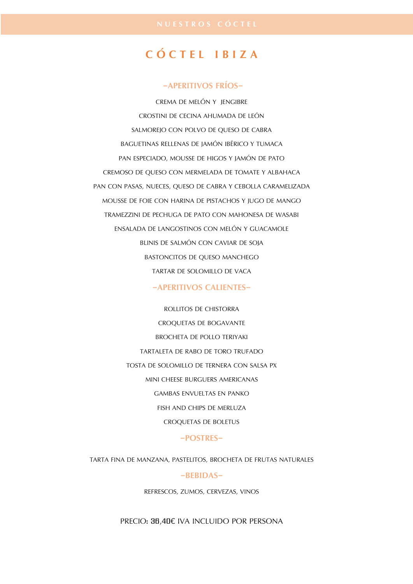### **C Ó C T E L I B I Z A**

#### **-APERITIVOS FRÍOS-**

CREMA DE MELÓN Y JENGIBRE CROSTINI DE CECINA AHUMADA DE LEÓN SALMOREJO CON POLVO DE QUESO DE CABRA BAGUETINAS RELLENAS DE JAMÓN IBÉRICO Y TUMACA PAN ESPECIADO, MOUSSE DE HIGOS Y JAMÓN DE PATO CREMOSO DE QUESO CON MERMELADA DE TOMATE Y ALBAHACA PAN CON PASAS, NUECES, QUESO DE CABRA Y CEBOLLA CARAMELIZADA MOUSSE DE FOIE CON HARINA DE PISTACHOS Y JUGO DE MANGO TRAMEZZINI DE PECHUGA DE PATO CON MAHONESA DE WASABI ENSALADA DE LANGOSTINOS CON MELÓN Y GUACAMOLE BLINIS DE SALMÓN CON CAVIAR DE SOJA BASTONCITOS DE QUESO MANCHEGO TARTAR DE SOLOMILLO DE VACA

#### **-APERITIVOS CALIENTES-**

ROLLITOS DE CHISTORRA CROQUETAS DE BOGAVANTE BROCHETA DE POLLO TERIYAKI TARTALETA DE RABO DE TORO TRUFADO TOSTA DE SOLOMILLO DE TERNERA CON SALSA PX MINI CHEESE BURGUERS AMERICANAS GAMBAS ENVUELTAS EN PANKO FISH AND CHIPS DE MERLUZA CROQUETAS DE BOLETUS

#### **-POSTRES-**

TARTA FINA DE MANZANA, PASTELITOS, BROCHETA DE FRUTAS NATURALES

#### **-BEBIDAS-**

REFRESCOS, ZUMOS, CERVEZAS, VINOS

PRECIO: 36,40€ IVA INCLUIDO POR PERSONA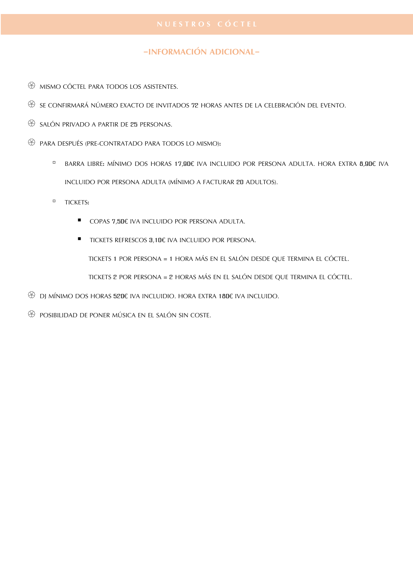#### **-INFORMACIÓN ADICIONAL-**

- $\circledR$  mismo cóctel para todos los asistentes.
- SE CONFIRMARÁ NÚMERO EXACTO DE INVITADOS 72 HORAS ANTES DE LA CELEBRACIÓN DEL EVENTO.
- $\circledast$  salón privado a partir de 25 personas.
- $\circledS$  para después (pre-contratado para todos LO MISMO):
	- BARRA LIBRE: MÍNIMO DOS HORAS 17,90€ IVA INCLUIDO POR PERSONA ADULTA. HORA EXTRA 8,90€ IVA INCLUIDO POR PERSONA ADULTA (MÍNIMO A FACTURAR 20 ADULTOS).
	- TICKETS:
		- COPAS 7,50€ IVA INCLUIDO POR PERSONA ADULTA.
		- TICKETS REFRESCOS 3,10€ IVA INCLUIDO POR PERSONA.

TICKETS 1 POR PERSONA = 1 HORA MÁS EN EL SALÓN DESDE QUE TERMINA EL CÓCTEL.

TICKETS 2 POR PERSONA = 2 HORAS MÁS EN EL SALÓN DESDE QUE TERMINA EL CÓCTEL.

- DJ MÍNIMO DOS HORAS 520€ IVA INCLUIDIO. HORA EXTRA 180€ IVA INCLUIDO.
- POSIBILIDAD DE PONER MÚSICA EN EL SALÓN SIN COSTE.